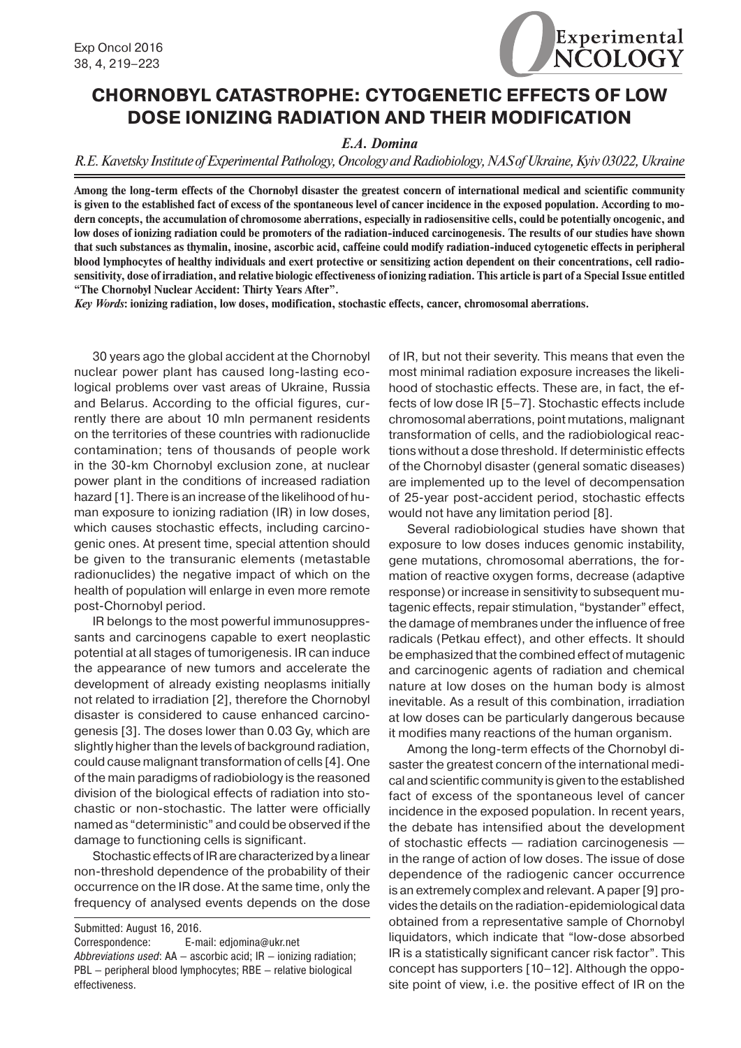

## **CHORNOBYL CATASTROPHE: CYTOGENETIC EFFECTS OF LOW DOSE IONIZING RADIATION AND THEIR MODIFICATION**

## *E.A. Domina*

*R.E. Kavetsky Institute of Experimental Pathology, Oncology and Radiobiology, NAS of Ukraine, Kyiv 03022, Ukraine*

**Among the long-term effects of the Chornobyl disaster the greatest concern of international medical and scientific community is given to the established fact of excess of the spontaneous level of cancer incidence in the exposed population. According to modern concepts, the accumulation of chromosome aberrations, especially in radiosensitive cells, could be potentially oncogenic, and low doses of ionizing radiation could be promoters of the radiation-induced carcinogenesis. The results of our studies have shown that such substances as thymalin, inosine, ascorbic acid, caffeine could modify radiation-induced cytogenetic effects in peripheral blood lymphocytes of healthy individuals and exert protective or sensitizing action dependent on their concentrations, cell radiosensitivity, dose of irradiation, and relative biologic effectiveness of ionizing radiation. This article is part of a Special Issue entitled "The Chornobyl Nuclear Accident: Thirty Years After".**

*Key Words***: ionizing radiation, low doses, modification, stochastic effects, cancer, chromosomal aberrations.**

30 years ago the global accident at the Chornobyl nuclear power plant has caused long-lasting ecological problems over vast areas of Ukraine, Russia and Belarus. According to the official figures, currently there are about 10 mln permanent residents on the territories of these countries with radionuclide contamination; tens of thousands of people work in the 30-km Chornobyl exclusion zone, at nuclear power plant in the conditions of increased radiation hazard [1]. There is an increase of the likelihood of human exposure to ionizing radiation (IR) in low doses, which causes stochastic effects, including carcinogenic ones. At present time, special attention should be given to the transuranic elements (metastable radionuclides) the negative impact of which on the health of population will enlarge in even more remote post-Chornobyl period.

IR belongs to the most powerful immunosuppressants and carcinogens capable to exert neoplastic potential at all stages of tumorigenesis. IR can induce the appearance of new tumors and accelerate the development of already existing neoplasms initially not related to irradiation [2], therefore the Chornobyl disaster is considered to cause enhanced carcinogenesis [3]. The doses lower than 0.03 Gy, which are slightly higher than the levels of background radiation, could cause malignant transformation of cells [4]. One of the main paradigms of radiobiology is the reasoned division of the biological effects of radiation into stochastic or non-stochastic. The latter were officially named as "deterministic" and could be observed if the damage to functioning cells is significant.

Stochastic effects of IR are characterized by a linear non-threshold dependence of the probability of their occurrence on the IR dose. At the same time, only the frequency of analysed events depends on the dose

Submitted: August 16, 2016.

Correspondence: E-mail: edjomina@ukr.net

of IR, but not their severity. This means that even the most minimal radiation exposure increases the likelihood of stochastic effects. These are, in fact, the effects of low dose IR [5–7]. Stochastic effects include chromosomal aberrations, point mutations, malignant transformation of cells, and the radiobiological reactions without a dose threshold. If deterministic effects of the Chornobyl disaster (general somatic diseases) are implemented up to the level of decompensation of 25-year post-accident period, stochastic effects would not have any limitation period [8].

Several radiobiological studies have shown that exposure to low doses induces genomic instability, gene mutations, chromosomal aberrations, the formation of reactive oxygen forms, decrease (adaptive response) or increase in sensitivity to subsequent mutagenic effects, repair stimulation, "bystander" effect, the damage of membranes under the influence of free radicals (Petkau effect), and other effects. It should be emphasized that the combined effect of mutagenic and carcinogenic agents of radiation and chemical nature at low doses on the human body is almost inevitable. As a result of this combination, irradiation at low doses can be particularly dangerous because it modifies many reactions of the human organism.

Among the long-term effects of the Chornobyl disaster the greatest concern of the international medical and scientific community is given to the established fact of excess of the spontaneous level of cancer incidence in the exposed population. In recent years, the debate has intensified about the development of stochastic effects — radiation carcinogenesis in the range of action of low doses. The issue of dose dependence of the radiogenic cancer occurrence is an extremely complex and relevant. A paper [9] provides the details on the radiation-epidemiological data obtained from a representative sample of Chornobyl liquidators, which indicate that "low-dose absorbed IR is a statistically significant cancer risk factor". This concept has supporters [10–12]. Although the opposite point of view, i.e. the positive effect of IR on the

*Abbreviations used*: AA — ascorbic acid; IR — ionizing radiation; PBL — peripheral blood lymphocytes; RBE — relative biological effectiveness.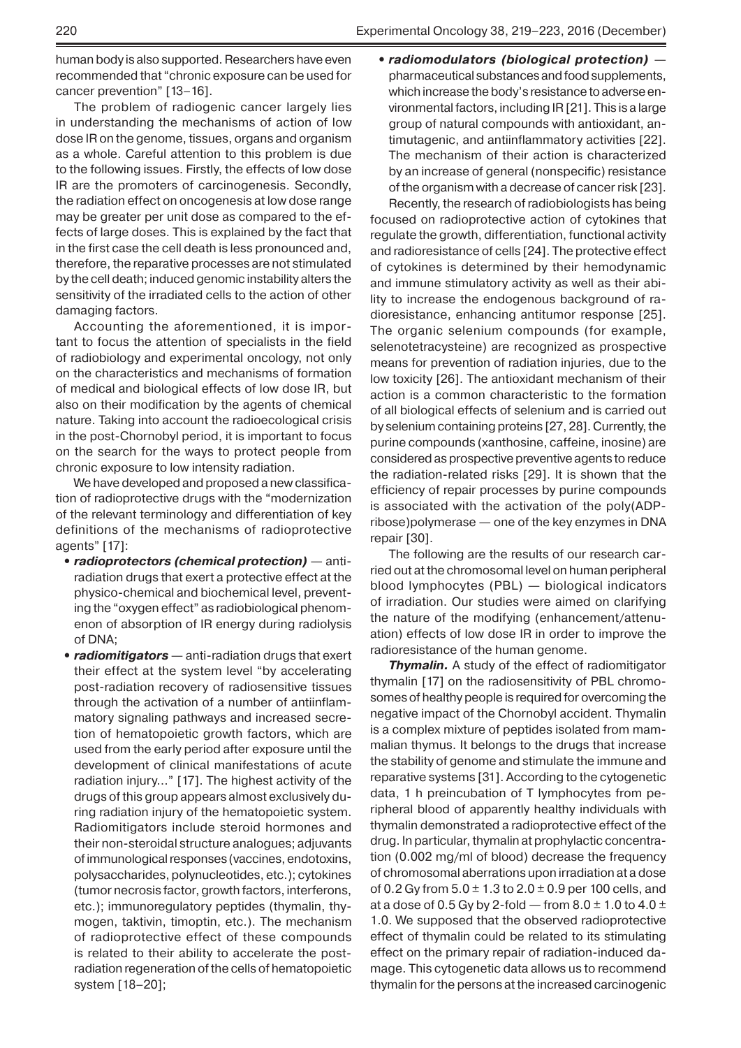human body is also supported. Researchers have even recommended that "chronic exposure can be used for cancer prevention" [13–16].

The problem of radiogenic cancer largely lies in understanding the mechanisms of action of low dose IR on the genome, tissues, organs and organism as a whole. Careful attention to this problem is due to the following issues. Firstly, the effects of low dose IR are the promoters of carcinogenesis. Secondly, the radiation effect on oncogenesis at low dose range may be greater per unit dose as compared to the effects of large doses. This is explained by the fact that in the first case the cell death is less pronounced and, therefore, the reparative processes are not stimulated by the cell death; induced genomic instability alters the sensitivity of the irradiated cells to the action of other damaging factors.

Accounting the aforementioned, it is important to focus the attention of specialists in the field of radiobiology and experimental oncology, not only on the characteristics and mechanisms of formation of medical and biological effects of low dose IR, but also on their modification by the agents of chemical nature. Taking into account the radioecological crisis in the post-Chornobyl period, it is important to focus on the search for the ways to protect people from chronic exposure to low intensity radiation.

We have developed and proposed a new classification of radioprotective drugs with the "modernization of the relevant terminology and differentiation of key definitions of the mechanisms of radioprotective agents" [17]:

- **•** *radioprotectors (chemical protection)* antiradiation drugs that exert a protective effect at the physico-chemical and biochemical level, preventing the "oxygen effect" as radiobiological phenomenon of absorption of IR energy during radiolysis of DNA;
- **•** *radiomitigators* anti-radiation drugs that exert their effect at the system level "by accelerating post-radiation recovery of radiosensitive tissues through the activation of a number of antiinflammatory signaling pathways and increased secretion of hematopoietic growth factors, which are used from the early period after exposure until the development of clinical manifestations of acute radiation injury..." [17]. The highest activity of the drugs of this group appears almost exclusively during radiation injury of the hematopoietic system. Radiomitigators include steroid hormones and their non-steroidal structure analogues; adjuvants of immunological responses (vaccines, endotoxins, polysaccharides, polynucleotides, etc.); cytokines (tumor necrosis factor, growth factors, interferons, etc.); immunoregulatory peptides (thymalin, thymogen, taktivin, timoptin, etc.). The mechanism of radioprotective effect of these compounds is related to their ability to accelerate the postradiation regeneration of the cells of hematopoietic system [18–20];

**•** *radiomodulators (biological protection)* pharmaceutical substances and food supplements, which increase the body's resistance to adverse environmental factors, including IR [21]. This is a large group of natural compounds with antioxidant, antimutagenic, and antiinflammatory activities [22]. The mechanism of their action is characterized by an increase of general (nonspecific) resistance of the organism with a decrease of cancer risk [23].

Recently, the research of radiobiologists has being focused on radioprotective action of cytokines that regulate the growth, differentiation, functional activity and radioresistance of cells [24]. The protective effect of cytokines is determined by their hemodynamic and immune stimulatory activity as well as their ability to increase the endogenous background of radioresistance, enhancing antitumor response [25]. The organic selenium compounds (for example, selenotetracysteine) are recognized as prospective means for prevention of radiation injuries, due to the low toxicity [26]. The antioxidant mechanism of their action is a common characteristic to the formation of all biological effects of selenium and is carried out by selenium containing proteins [27, 28]. Currently, the purine compounds (xanthosine, caffeine, inosine) are considered as prospective preventive agents to reduce the radiation-related risks [29]. It is shown that the efficiency of repair processes by purine compounds is associated with the activation of the poly(ADPribose)polymerase — one of the key enzymes in DNA repair [30].

The following are the results of our research carried out at the chromosomal level on human peripheral blood lymphocytes (PBL) — biological indicators of irradiation. Our studies were aimed on clarifying the nature of the modifying (enhancement/attenuation) effects of low dose IR in order to improve the radioresistance of the human genome.

*Thymalin.* A study of the effect of radiomitigator thymalin [17] on the radiosensitivity of PBL chromosomes of healthy people is required for overcoming the negative impact of the Chornobyl accident. Thymalin is a complex mixture of peptides isolated from mammalian thymus. It belongs to the drugs that increase the stability of genome and stimulate the immune and reparative systems [31]. According to the cytogenetic data, 1 h preincubation of T lymphocytes from peripheral blood of apparently healthy individuals with thymalin demonstrated a radioprotective effect of the drug. In particular, thymalin at prophylactic concentration (0.002 mg/ml of blood) decrease the frequency of chromosomal aberrations upon irradiation at a dose of 0.2 Gy from  $5.0 \pm 1.3$  to  $2.0 \pm 0.9$  per 100 cells, and at a dose of 0.5 Gy by 2-fold  $-$  from 8.0  $\pm$  1.0 to 4.0  $\pm$ 1.0. We supposed that the observed radioprotective effect of thymalin could be related to its stimulating effect on the primary repair of radiation-induced damage. This cytogenetic data allows us to recommend thymalin for the persons at the increased carcinogenic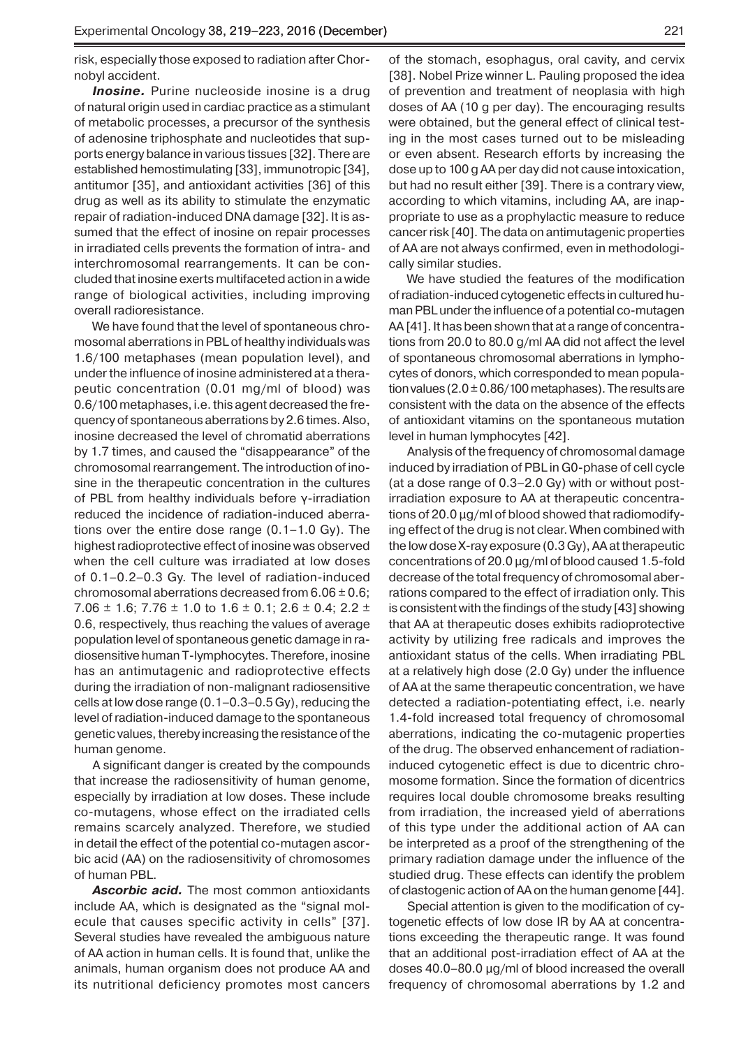risk, especially those exposed to radiation after Chornobyl accident.

**Inosine.** Purine nucleoside inosine is a drug of natural origin used in cardiac practice as a stimulant of metabolic processes, a precursor of the synthesis of adenosine triphosphate and nucleotides that supports energy balance in various tissues [32]. There are established hemostimulating [33], immunotropic [34], antitumor [35], and antioxidant activities [36] of this drug as well as its ability to stimulate the enzymatic repair of radiation-induced DNA damage [32]. It is assumed that the effect of inosine on repair processes in irradiated cells prevents the formation of intra- and interchromosomal rearrangements. It can be concluded that inosine exerts multifaceted action in a wide range of biological activities, including improving overall radioresistance.

We have found that the level of spontaneous chromosomal aberrations in PBL of healthy individuals was 1.6/100 metaphases (mean population level), and under the influence of inosine administered at a therapeutic concentration (0.01 mg/ml of blood) was 0.6/100 metaphases, i.e. this agent decreased the frequency of spontaneous aberrations by 2.6 times. Also, inosine decreased the level of chromatid aberrations by 1.7 times, and caused the "disappearance" of the chromosomal rearrangement. The introduction of inosine in the therapeutic concentration in the cultures of PBL from healthy individuals before γ-irradiation reduced the incidence of radiation-induced aberrations over the entire dose range (0.1–1.0 Gy). The highest radioprotective effect of inosine was observed when the cell culture was irradiated at low doses of 0.1–0.2–0.3 Gy. The level of radiation-induced chromosomal aberrations decreased from  $6.06 \pm 0.6$ ; 7.06  $\pm$  1.6; 7.76  $\pm$  1.0 to 1.6  $\pm$  0.1; 2.6  $\pm$  0.4; 2.2  $\pm$ 0.6, respectively, thus reaching the values of average population level of spontaneous genetic damage in radiosensitive human T-lymphocytes. Therefore, inosine has an antimutagenic and radioprotective effects during the irradiation of non-malignant radiosensitive cells at low dose range (0.1–0.3–0.5 Gy), reducing the level of radiation-induced damage to the spontaneous genetic values, thereby increasing the resistance of the human genome.

A significant danger is created by the compounds that increase the radiosensitivity of human genome, especially by irradiation at low doses. These include co-mutagens, whose effect on the irradiated cells remains scarcely analyzed. Therefore, we studied in detail the effect of the potential co-mutagen ascor bic acid (AA) on the radiosensitivity of chromosomes of human PBL.

*Ascorbic acid.* The most common antioxidants include AA, which is designated as the "signal molecule that causes specific activity in cells" [37]. Several studies have revealed the ambiguous nature of AA action in human cells. It is found that, unlike the animals, human organism does not produce AA and its nutritional deficiency promotes most cancers

of the stomach, esophagus, oral cavity, and cervix [38]. Nobel Prize winner L. Pauling proposed the idea of prevention and treatment of neoplasia with high doses of AA (10 g per day). The encouraging results were obtained, but the general effect of clinical testing in the most cases turned out to be misleading or even absent. Research efforts by increasing the dose up to 100 g AA per day did not cause intoxication, but had no result either [39]. There is a contrary view, according to which vitamins, including AA, are inappropriate to use as a prophylactic measure to reduce cancer risk [40]. The data on antimutagenic properties of AA are not always confirmed, even in methodologically similar studies.

We have studied the features of the modification of radiation-induced cytogenetic effects in cultured human PBL under the influence of a potential co-mutagen AA [41]. It has been shown that at a range of concentrations from 20.0 to 80.0 g/ml AA did not affect the level of spontaneous chromosomal aberrations in lymphocytes of donors, which corresponded to mean population values ( $2.0 \pm 0.86/100$  metaphases). The results are consistent with the data on the absence of the effects of antioxidant vitamins on the spontaneous mutation level in human lymphocytes [42].

Analysis of the frequency of chromosomal damage induced by irradiation of PBL in G0-phase of cell cycle (at a dose range of 0.3–2.0 Gy) with or without postirradiation exposure to AA at therapeutic concentrations of 20.0 µg/ml of blood showed that radiomodifying effect of the drug is not clear. When combined with the low dose X-ray exposure (0.3 Gy), AA at therapeutic concentrations of 20.0 µg/ml of blood caused 1.5-fold decrease of the total frequency of chromosomal aberrations compared to the effect of irradiation only. This is consistent with the findings of the study [43] showing that AA at therapeutic doses exhibits radioprotective activity by utilizing free radicals and improves the antioxidant status of the cells. When irradiating PBL at a relatively high dose (2.0 Gy) under the influence of AA at the same therapeutic concentration, we have detected a radiation-potentiating effect, i.e. nearly 1.4-fold increased total frequency of chromosomal aberrations, indicating the co-mutagenic properties of the drug. The observed enhancement of radiationinduced cytogenetic effect is due to dicentric chromosome formation. Since the formation of dicentrics requires local double chromosome breaks resulting from irradiation, the increased yield of aberrations of this type under the additional action of AA can be interpreted as a proof of the strengthening of the primary radiation damage under the influence of the studied drug. These effects can identify the problem of clastogenic action of AA on the human genome [44].

Special attention is given to the modification of cytogenetic effects of low dose IR by AA at concentrations exceeding the therapeutic range. It was found that an additional post-irradiation effect of AA at the doses 40.0–80.0 µg/ml of blood increased the overall frequency of chromosomal aberrations by 1.2 and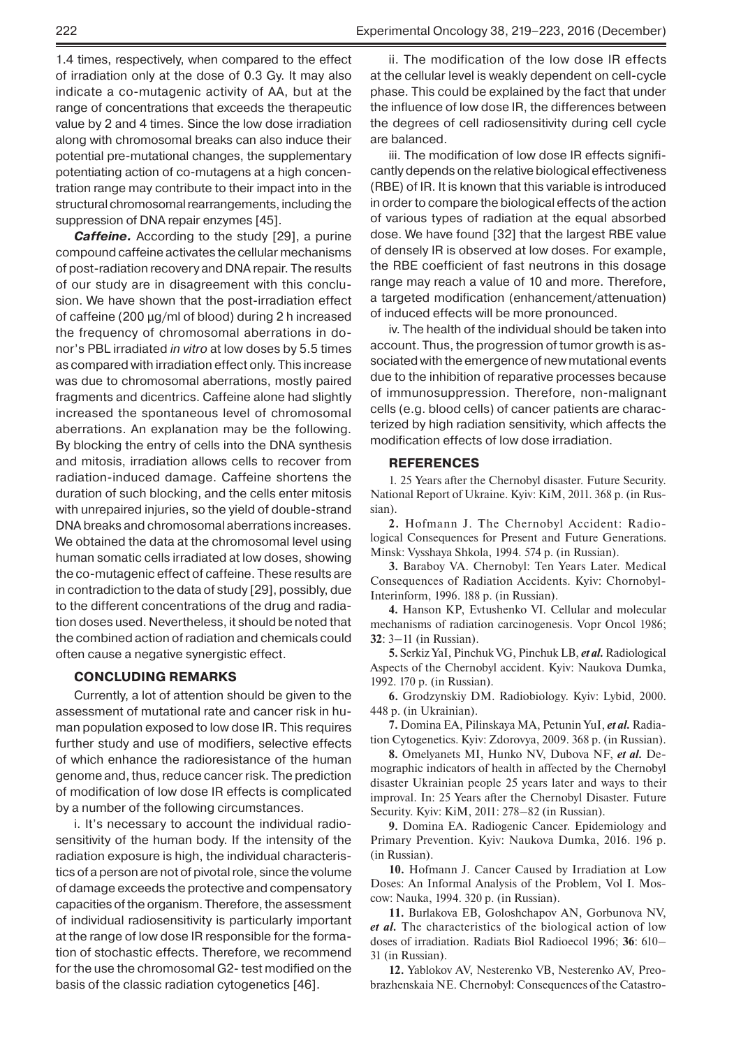1.4 times, respectively, when compared to the effect of irradiation only at the dose of 0.3 Gy. It may also indicate a co-mutagenic activity of AA, but at the range of concentrations that exceeds the therapeutic value by 2 and 4 times. Since the low dose irradiation along with chromosomal breaks can also induce their potential pre-mutational changes, the supplementary potentiating action of co-mutagens at a high concentration range may contribute to their impact into in the structural chromosomal rearrangements, including the suppression of DNA repair enzymes [45].

*Caffeine.* According to the study [29], a purine compound caffeine activates the cellular mechanisms of post-radiation recovery and DNA repair. The results of our study are in disagreement with this conclusion. We have shown that the post-irradiation effect of caffeine (200 µg/ml of blood) during 2 h increased the frequency of chromosomal aberrations in donor's PBL irradiated *in vitro* at low doses by 5.5 times as compared with irradiation effect only. This increase was due to chromosomal aberrations, mostly paired fragments and dicentrics. Caffeine alone had slightly increased the spontaneous level of chromosomal aberrations. An explanation may be the following. By blocking the entry of cells into the DNA synthesis and mitosis, irradiation allows cells to recover from radiation-induced damage. Caffeine shortens the duration of such blocking, and the cells enter mitosis with unrepaired injuries, so the yield of double-strand DNA breaks and chromosomal aberrations increases. We obtained the data at the chromosomal level using human somatic cells irradiated at low doses, showing the co-mutagenic effect of caffeine. These results are in contradiction to the data of study [29], possibly, due to the different concentrations of the drug and radiation doses used. Nevertheless, it should be noted that the combined action of radiation and chemicals could often cause a negative synergistic effect.

## **CONCLUDING REMARKS**

Currently, a lot of attention should be given to the assessment of mutational rate and cancer risk in human population exposed to low dose IR. This requires further study and use of modifiers, selective effects of which enhance the radioresistance of the human genome and, thus, reduce cancer risk. The prediction of modification of low dose IR effects is complicated by a number of the following circumstances.

i. It's necessary to account the individual radiosensitivity of the human body. If the intensity of the radiation exposure is high, the individual characteristics of a person are not of pivotal role, since the volume of damage exceeds the protective and compensatory capacities of the organism. Therefore, the assessment of individual radiosensitivity is particularly important at the range of low dose IR responsible for the formation of stochastic effects. Therefore, we recommend for the use the chromosomal G2- test modified on the basis of the classic radiation cytogenetics [46].

ii. The modification of the low dose IR effects at the cellular level is weakly dependent on cell-cycle phase. This could be explained by the fact that under the influence of low dose IR, the differences between the degrees of cell radiosensitivity during cell cycle are balanced.

iii. The modification of low dose IR effects significantly depends on the relative biological effectiveness (RBE) of IR. It is known that this variable is introduced in order to compare the biological effects of the action of various types of radiation at the equal absorbed dose. We have found [32] that the largest RBE value of densely IR is observed at low doses. For example, the RBE coefficient of fast neutrons in this dosage range may reach a value of 10 and more. Therefore, a targeted modification (enhancement/attenuation) of induced effects will be more pronounced.

iv. The health of the individual should be taken into account. Thus, the progression of tumor growth is associated with the emergence of new mutational events due to the inhibition of reparative processes because of immunosuppression. Therefore, non-malignant cells (e.g. blood cells) of cancer patients are characterized by high radiation sensitivity, which affects the modification effects of low dose irradiation.

## **REFERENCES**

1. 25 Years after the Chernobyl disaster. Future Security. National Report of Ukraine. Kyiv: КіМ, 2011. 368 p. (in Russian).

**2.** Hofmann J. The Chernobyl Accident: Radiological Consequences for Present and Future Generations. Minsk: Vysshaya Shkola, 1994. 574 p. (in Russian).

**3.** Baraboy VA. Chernobyl: Ten Years Later. Medical Consequences of Radiation Accidents. Kyiv: Chornobyl-Interinform, 1996. 188 p. (in Russian).

**4.** Hanson KP, Evtushenko VI. Cellular and molecular mechanisms of radiation carcinogenesis. Vopr Oncol 1986; **32**: 3–11 (in Russian).

**5.** Serkiz YaI, Pinchuk VG, Pinchuk LB, *et al.* Radiological Aspects of the Chernobyl accident. Kyiv: Naukova Dumka, 1992. 170 p. (in Russian).

**6.** Grodzynskiy DM. Radiobiology. Kyiv: Lybid, 2000. 448 p. (in Ukrainian).

**7.** Domina EA, Pilinskaya MA, Petunin YuI, *et al.* Radiation Cytogenetics. Kyiv: Zdorovya, 2009. 368 p. (in Russian).

**8.** Omelyanets MI, Hunko NV, Dubova NF, *et al.* Demographic indicators of health in affected by the Chernobyl disaster Ukrainian people 25 years later and ways to their improval. In: 25 Years after the Chernobyl Disaster. Future Security. Kyiv: КіМ, 2011: 278–82 (in Russian).

**9.** Domina EA. Radiogenic Cancer. Epidemiology and Primary Prevention. Kyiv: Naukova Dumka, 2016. 196 p. (in Russian).

**10.** Hofmann J. Cancer Caused by Irradiation at Low Doses: An Informal Analysis of the Problem, Vol I. Moscow: Nauka, 1994. 320 p. (in Russian).

**11.** Burlakova EB, Goloshchapov AN, Gorbunova NV, *et al.* The characteristics of the biological action of low doses of irradiation. Radiats Biol Radioecol 1996; **36**: 610– 31 (in Russian).

**12.** Yablokov AV, Nesterenko VB, Nesterenko AV, Preobrazhenskaia NE. Chernobyl: Consequences of the Catastro